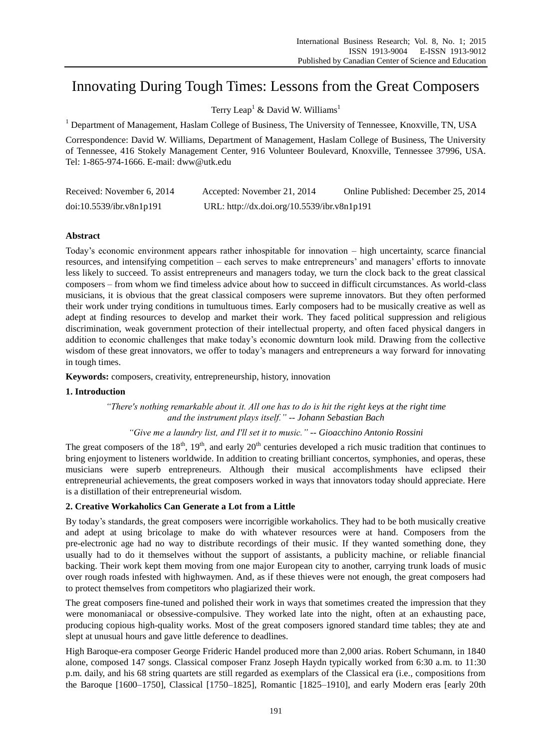# Innovating During Tough Times: Lessons from the Great Composers

Terry Leap<sup>1</sup> & David W. Williams<sup>1</sup>

<sup>1</sup> Department of Management, Haslam College of Business, The University of Tennessee, Knoxville, TN, USA

Correspondence: David W. Williams, Department of Management, Haslam College of Business, The University of Tennessee, 416 Stokely Management Center, 916 Volunteer Boulevard, Knoxville, Tennessee 37996, USA. Tel: 1-865-974-1666. E-mail: dww@utk.edu

| Received: November 6, 2014 | Accepted: November 21, 2014                 | Online Published: December 25, 2014 |
|----------------------------|---------------------------------------------|-------------------------------------|
| doi:10.5539/ibr.v8n1p191   | URL: http://dx.doi.org/10.5539/ibr.v8n1p191 |                                     |

# **Abstract**

Today's economic environment appears rather inhospitable for innovation – high uncertainty, scarce financial resources, and intensifying competition – each serves to make entrepreneurs' and managers' efforts to innovate less likely to succeed. To assist entrepreneurs and managers today, we turn the clock back to the great classical composers – from whom we find timeless advice about how to succeed in difficult circumstances. As world-class musicians, it is obvious that the great classical composers were supreme innovators. But they often performed their work under trying conditions in tumultuous times. Early composers had to be musically creative as well as adept at finding resources to develop and market their work. They faced political suppression and religious discrimination, weak government protection of their intellectual property, and often faced physical dangers in addition to economic challenges that make today's economic downturn look mild. Drawing from the collective wisdom of these great innovators, we offer to today's managers and entrepreneurs a way forward for innovating in tough times.

**Keywords:** composers, creativity, entrepreneurship, history, innovation

## **1. Introduction**

*"There's nothing remarkable about it. All one has to do is hit the right keys at the right time and the instrument plays itself." -- Johann Sebastian Bach*

## *"Give me a laundry list, and I'll set it to music." -- Gioacchino Antonio Rossini*

The great composers of the  $18<sup>th</sup>$ ,  $19<sup>th</sup>$ , and early  $20<sup>th</sup>$  centuries developed a rich music tradition that continues to bring enjoyment to listeners worldwide. In addition to creating brilliant concertos, symphonies, and operas, these musicians were superb entrepreneurs. Although their musical accomplishments have eclipsed their entrepreneurial achievements, the great composers worked in ways that innovators today should appreciate. Here is a distillation of their entrepreneurial wisdom.

# **2. Creative Workaholics Can Generate a Lot from a Little**

By today's standards, the great composers were incorrigible workaholics. They had to be both musically creative and adept at using bricolage to make do with whatever resources were at hand. Composers from the pre-electronic age had no way to distribute recordings of their music. If they wanted something done, they usually had to do it themselves without the support of assistants, a publicity machine, or reliable financial backing. Their work kept them moving from one major European city to another, carrying trunk loads of music over rough roads infested with highwaymen. And, as if these thieves were not enough, the great composers had to protect themselves from competitors who plagiarized their work.

The great composers fine-tuned and polished their work in ways that sometimes created the impression that they were monomaniacal or obsessive-compulsive. They worked late into the night, often at an exhausting pace, producing copious high-quality works. Most of the great composers ignored standard time tables; they ate and slept at unusual hours and gave little deference to deadlines.

High Baroque-era composer George Frideric Handel produced more than 2,000 arias. Robert Schumann, in 1840 alone, composed 147 songs. Classical composer Franz Joseph Haydn typically worked from 6:30 a.m. to 11:30 p.m. daily, and his 68 string quartets are still regarded as exemplars of the Classical era (i.e., compositions from the Baroque [1600–1750], Classical [1750–1825], Romantic [1825–1910], and early Modern eras [early 20th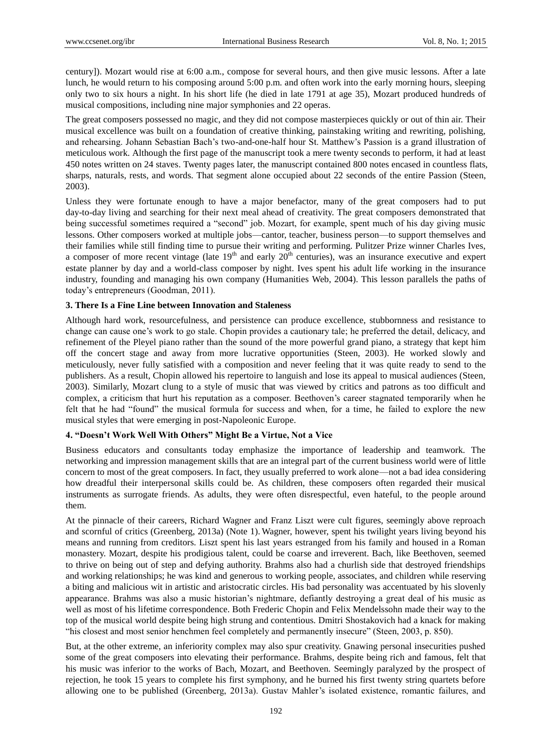century]). Mozart would rise at 6:00 a.m., compose for several hours, and then give music lessons. After a late lunch, he would return to his composing around 5:00 p.m. and often work into the early morning hours, sleeping only two to six hours a night. In his short life (he died in late 1791 at age 35), Mozart produced hundreds of musical compositions, including nine major symphonies and 22 operas.

The great composers possessed no magic, and they did not compose masterpieces quickly or out of thin air. Their musical excellence was built on a foundation of creative thinking, painstaking writing and rewriting, polishing, and rehearsing. Johann Sebastian Bach's two-and-one-half hour St. Matthew's Passion is a grand illustration of meticulous work. Although the first page of the manuscript took a mere twenty seconds to perform, it had at least 450 notes written on 24 staves. Twenty pages later, the manuscript contained 800 notes encased in countless flats, sharps, naturals, rests, and words. That segment alone occupied about 22 seconds of the entire Passion (Steen, 2003).

Unless they were fortunate enough to have a major benefactor, many of the great composers had to put day-to-day living and searching for their next meal ahead of creativity. The great composers demonstrated that being successful sometimes required a "second" job. Mozart, for example, spent much of his day giving music lessons. Other composers worked at multiple jobs—cantor, teacher, business person—to support themselves and their families while still finding time to pursue their writing and performing. Pulitzer Prize winner Charles Ives, a composer of more recent vintage (late  $19<sup>th</sup>$  and early  $20<sup>th</sup>$  centuries), was an insurance executive and expert estate planner by day and a world-class composer by night. Ives spent his adult life working in the insurance industry, founding and managing his own company (Humanities Web, 2004). This lesson parallels the paths of today's entrepreneurs (Goodman, 2011).

# **3. There Is a Fine Line between Innovation and Staleness**

Although hard work, resourcefulness, and persistence can produce excellence, stubbornness and resistance to change can cause one's work to go stale. Chopin provides a cautionary tale; he preferred the detail, delicacy, and refinement of the Pleyel piano rather than the sound of the more powerful grand piano, a strategy that kept him off the concert stage and away from more lucrative opportunities (Steen, 2003). He worked slowly and meticulously, never fully satisfied with a composition and never feeling that it was quite ready to send to the publishers. As a result, Chopin allowed his repertoire to languish and lose its appeal to musical audiences (Steen, 2003). Similarly, Mozart clung to a style of music that was viewed by critics and patrons as too difficult and complex, a criticism that hurt his reputation as a composer. Beethoven's career stagnated temporarily when he felt that he had "found" the musical formula for success and when, for a time, he failed to explore the new musical styles that were emerging in post-Napoleonic Europe.

# **4. "Doesn't Work Well With Others" Might Be a Virtue, Not a Vice**

Business educators and consultants today emphasize the importance of leadership and teamwork. The networking and impression management skills that are an integral part of the current business world were of little concern to most of the great composers. In fact, they usually preferred to work alone—not a bad idea considering how dreadful their interpersonal skills could be. As children, these composers often regarded their musical instruments as surrogate friends. As adults, they were often disrespectful, even hateful, to the people around them.

At the pinnacle of their careers, Richard Wagner and Franz Liszt were cult figures, seemingly above reproach and scornful of critics (Greenberg, 2013a) (Note 1). Wagner, however, spent his twilight years living beyond his means and running from creditors. Liszt spent his last years estranged from his family and housed in a Roman monastery. Mozart, despite his prodigious talent, could be coarse and irreverent. Bach, like Beethoven, seemed to thrive on being out of step and defying authority. Brahms also had a churlish side that destroyed friendships and working relationships; he was kind and generous to working people, associates, and children while reserving a biting and malicious wit in artistic and aristocratic circles. His bad personality was accentuated by his slovenly appearance. Brahms was also a music historian's nightmare, defiantly destroying a great deal of his music as well as most of his lifetime correspondence. Both Frederic Chopin and Felix Mendelssohn made their way to the top of the musical world despite being high strung and contentious. Dmitri Shostakovich had a knack for making ―his closest and most senior henchmen feel completely and permanently insecure‖ (Steen, 2003, p. 850).

But, at the other extreme, an inferiority complex may also spur creativity. Gnawing personal insecurities pushed some of the great composers into elevating their performance. Brahms, despite being rich and famous, felt that his music was inferior to the works of Bach, Mozart, and Beethoven. Seemingly paralyzed by the prospect of rejection, he took 15 years to complete his first symphony, and he burned his first twenty string quartets before allowing one to be published (Greenberg, 2013a). Gustav Mahler's isolated existence, romantic failures, and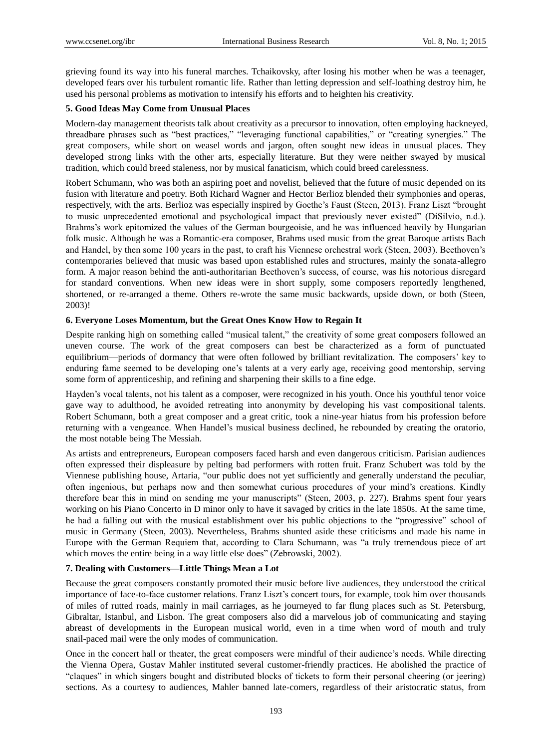grieving found its way into his funeral marches. Tchaikovsky, after losing his mother when he was a teenager, developed fears over his turbulent romantic life. Rather than letting depression and self-loathing destroy him, he used his personal problems as motivation to intensify his efforts and to heighten his creativity.

# **5. Good Ideas May Come from Unusual Places**

Modern-day management theorists talk about creativity as a precursor to innovation, often employing hackneyed, threadbare phrases such as "best practices," "leveraging functional capabilities," or "creating synergies." The great composers, while short on weasel words and jargon, often sought new ideas in unusual places. They developed strong links with the other arts, especially literature. But they were neither swayed by musical tradition, which could breed staleness, nor by musical fanaticism, which could breed carelessness.

Robert Schumann, who was both an aspiring poet and novelist, believed that the future of music depended on its fusion with literature and poetry. Both Richard Wagner and Hector Berlioz blended their symphonies and operas, respectively, with the arts. Berlioz was especially inspired by Goethe's Faust (Steen, 2013). Franz Liszt "brought to music unprecedented emotional and psychological impact that previously never existed" (DiSilvio, n.d.). Brahms's work epitomized the values of the German bourgeoisie, and he was influenced heavily by Hungarian folk music. Although he was a Romantic-era composer, Brahms used music from the great Baroque artists Bach and Handel, by then some 100 years in the past, to craft his Viennese orchestral work (Steen, 2003). Beethoven's contemporaries believed that music was based upon established rules and structures, mainly the sonata-allegro form. A major reason behind the anti-authoritarian Beethoven's success, of course, was his notorious disregard for standard conventions. When new ideas were in short supply, some composers reportedly lengthened, shortened, or re-arranged a theme. Others re-wrote the same music backwards, upside down, or both (Steen, 2003)!

# **6. Everyone Loses Momentum, but the Great Ones Know How to Regain It**

Despite ranking high on something called "musical talent," the creativity of some great composers followed an uneven course. The work of the great composers can best be characterized as a form of punctuated equilibrium—periods of dormancy that were often followed by brilliant revitalization. The composers' key to enduring fame seemed to be developing one's talents at a very early age, receiving good mentorship, serving some form of apprenticeship, and refining and sharpening their skills to a fine edge.

Hayden's vocal talents, not his talent as a composer, were recognized in his youth. Once his youthful tenor voice gave way to adulthood, he avoided retreating into anonymity by developing his vast compositional talents. Robert Schumann, both a great composer and a great critic, took a nine-year hiatus from his profession before returning with a vengeance. When Handel's musical business declined, he rebounded by creating the oratorio, the most notable being The Messiah.

As artists and entrepreneurs, European composers faced harsh and even dangerous criticism. Parisian audiences often expressed their displeasure by pelting bad performers with rotten fruit. Franz Schubert was told by the Viennese publishing house, Artaria, "our public does not yet sufficiently and generally understand the peculiar, often ingenious, but perhaps now and then somewhat curious procedures of your mind's creations. Kindly therefore bear this in mind on sending me your manuscripts" (Steen, 2003, p. 227). Brahms spent four years working on his Piano Concerto in D minor only to have it savaged by critics in the late 1850s. At the same time, he had a falling out with the musical establishment over his public objections to the "progressive" school of music in Germany (Steen, 2003). Nevertheless, Brahms shunted aside these criticisms and made his name in Europe with the German Requiem that, according to Clara Schumann, was "a truly tremendous piece of art which moves the entire being in a way little else does" (Zebrowski, 2002).

# **7. Dealing with Customers—Little Things Mean a Lot**

Because the great composers constantly promoted their music before live audiences, they understood the critical importance of face-to-face customer relations. Franz Liszt's concert tours, for example, took him over thousands of miles of rutted roads, mainly in mail carriages, as he journeyed to far flung places such as St. Petersburg, Gibraltar, Istanbul, and Lisbon. The great composers also did a marvelous job of communicating and staying abreast of developments in the European musical world, even in a time when word of mouth and truly snail-paced mail were the only modes of communication.

Once in the concert hall or theater, the great composers were mindful of their audience's needs. While directing the Vienna Opera, Gustav Mahler instituted several customer-friendly practices. He abolished the practice of ―claques‖ in which singers bought and distributed blocks of tickets to form their personal cheering (or jeering) sections. As a courtesy to audiences, Mahler banned late-comers, regardless of their aristocratic status, from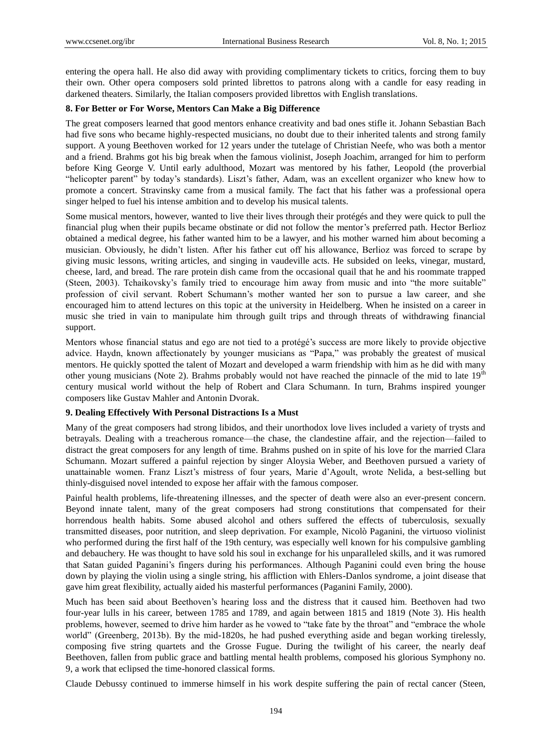entering the opera hall. He also did away with providing complimentary tickets to critics, forcing them to buy their own. Other opera composers sold printed librettos to patrons along with a candle for easy reading in darkened theaters. Similarly, the Italian composers provided librettos with English translations.

## **8. For Better or For Worse, Mentors Can Make a Big Difference**

The great composers learned that good mentors enhance creativity and bad ones stifle it. Johann Sebastian Bach had five sons who became highly-respected musicians, no doubt due to their inherited talents and strong family support. A young Beethoven worked for 12 years under the tutelage of Christian Neefe, who was both a mentor and a friend. Brahms got his big break when the famous violinist, Joseph Joachim, arranged for him to perform before King George V. Until early adulthood, Mozart was mentored by his father, Leopold (the proverbial ―helicopter parent‖ by today's standards). Liszt's father, Adam, was an excellent organizer who knew how to promote a concert. Stravinsky came from a musical family. The fact that his father was a professional opera singer helped to fuel his intense ambition and to develop his musical talents.

Some musical mentors, however, wanted to live their lives through their protégés and they were quick to pull the financial plug when their pupils became obstinate or did not follow the mentor's preferred path. Hector Berlioz obtained a medical degree, his father wanted him to be a lawyer, and his mother warned him about becoming a musician. Obviously, he didn't listen. After his father cut off his allowance, Berlioz was forced to scrape by giving music lessons, writing articles, and singing in vaudeville acts. He subsided on leeks, vinegar, mustard, cheese, lard, and bread. The rare protein dish came from the occasional quail that he and his roommate trapped (Steen, 2003). Tchaikovsky's family tried to encourage him away from music and into "the more suitable" profession of civil servant. Robert Schumann's mother wanted her son to pursue a law career, and she encouraged him to attend lectures on this topic at the university in Heidelberg. When he insisted on a career in music she tried in vain to manipulate him through guilt trips and through threats of withdrawing financial support.

Mentors whose financial status and ego are not tied to a protégé's success are more likely to provide objective advice. Haydn, known affectionately by younger musicians as "Papa," was probably the greatest of musical mentors. He quickly spotted the talent of Mozart and developed a warm friendship with him as he did with many other young musicians (Note 2). Brahms probably would not have reached the pinnacle of the mid to late  $19<sup>th</sup>$ century musical world without the help of Robert and Clara Schumann. In turn, Brahms inspired younger composers like Gustav Mahler and Antonin Dvorak.

## **9. Dealing Effectively With Personal Distractions Is a Must**

Many of the great composers had strong libidos, and their unorthodox love lives included a variety of trysts and betrayals. Dealing with a treacherous romance—the chase, the clandestine affair, and the rejection—failed to distract the great composers for any length of time. Brahms pushed on in spite of his love for the married Clara Schumann. Mozart suffered a painful rejection by singer Aloysia Weber, and Beethoven pursued a variety of unattainable women. Franz Liszt's mistress of four years, Marie d'Agoult, wrote Nelida, a best-selling but thinly-disguised novel intended to expose her affair with the famous composer.

Painful health problems, life-threatening illnesses, and the specter of death were also an ever-present concern. Beyond innate talent, many of the great composers had strong constitutions that compensated for their horrendous health habits. Some abused alcohol and others suffered the effects of tuberculosis, sexually transmitted diseases, poor nutrition, and sleep deprivation. For example, Nicolò Paganini, the virtuoso violinist who performed during the first half of the 19th century, was especially well known for his compulsive gambling and debauchery. He was thought to have sold his soul in exchange for his unparalleled skills, and it was rumored that Satan guided Paganini's fingers during his performances. Although Paganini could even bring the house down by playing the violin using a single string, his affliction with Ehlers-Danlos syndrome, a joint disease that gave him great flexibility, actually aided his masterful performances (Paganini Family, 2000).

Much has been said about Beethoven's hearing loss and the distress that it caused him. Beethoven had two four-year lulls in his career, between 1785 and 1789, and again between 1815 and 1819 (Note 3). His health problems, however, seemed to drive him harder as he vowed to "take fate by the throat" and "embrace the whole world" (Greenberg, 2013b). By the mid-1820s, he had pushed everything aside and began working tirelessly, composing five string quartets and the Grosse Fugue. During the twilight of his career, the nearly deaf Beethoven, fallen from public grace and battling mental health problems, composed his glorious Symphony no. 9, a work that eclipsed the time-honored classical forms.

Claude Debussy continued to immerse himself in his work despite suffering the pain of rectal cancer (Steen,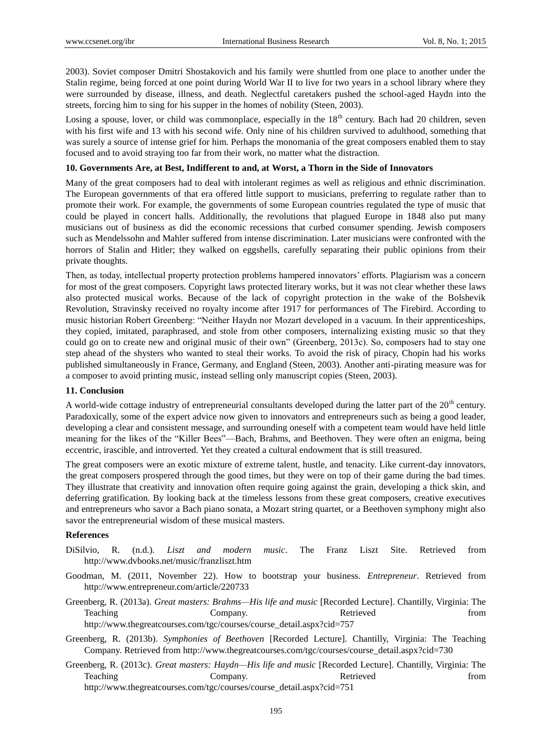2003). Soviet composer Dmitri Shostakovich and his family were shuttled from one place to another under the Stalin regime, being forced at one point during World War II to live for two years in a school library where they were surrounded by disease, illness, and death. Neglectful caretakers pushed the school-aged Haydn into the streets, forcing him to sing for his supper in the homes of nobility (Steen, 2003).

Losing a spouse, lover, or child was commonplace, especially in the  $18<sup>th</sup>$  century. Bach had 20 children, seven with his first wife and 13 with his second wife. Only nine of his children survived to adulthood, something that was surely a source of intense grief for him. Perhaps the monomania of the great composers enabled them to stay focused and to avoid straying too far from their work, no matter what the distraction.

#### **10. Governments Are, at Best, Indifferent to and, at Worst, a Thorn in the Side of Innovators**

Many of the great composers had to deal with intolerant regimes as well as religious and ethnic discrimination. The European governments of that era offered little support to musicians, preferring to regulate rather than to promote their work. For example, the governments of some European countries regulated the type of music that could be played in concert halls. Additionally, the revolutions that plagued Europe in 1848 also put many musicians out of business as did the economic recessions that curbed consumer spending. Jewish composers such as Mendelssohn and Mahler suffered from intense discrimination. Later musicians were confronted with the horrors of Stalin and Hitler; they walked on eggshells, carefully separating their public opinions from their private thoughts.

Then, as today, intellectual property protection problems hampered innovators' efforts. Plagiarism was a concern for most of the great composers. Copyright laws protected literary works, but it was not clear whether these laws also protected musical works. Because of the lack of copyright protection in the wake of the Bolshevik Revolution, Stravinsky received no royalty income after 1917 for performances of The Firebird. According to music historian Robert Greenberg: "Neither Haydn nor Mozart developed in a vacuum. In their apprenticeships, they copied, imitated, paraphrased, and stole from other composers, internalizing existing music so that they could go on to create new and original music of their own" (Greenberg, 2013c). So, composers had to stay one step ahead of the shysters who wanted to steal their works. To avoid the risk of piracy, Chopin had his works published simultaneously in France, Germany, and England (Steen, 2003). Another anti-pirating measure was for a composer to avoid printing music, instead selling only manuscript copies (Steen, 2003).

#### **11. Conclusion**

A world-wide cottage industry of entrepreneurial consultants developed during the latter part of the  $20<sup>th</sup>$  century. Paradoxically, some of the expert advice now given to innovators and entrepreneurs such as being a good leader, developing a clear and consistent message, and surrounding oneself with a competent team would have held little meaning for the likes of the "Killer Bees"—Bach, Brahms, and Beethoven. They were often an enigma, being eccentric, irascible, and introverted. Yet they created a cultural endowment that is still treasured.

The great composers were an exotic mixture of extreme talent, hustle, and tenacity. Like current-day innovators, the great composers prospered through the good times, but they were on top of their game during the bad times. They illustrate that creativity and innovation often require going against the grain, developing a thick skin, and deferring gratification. By looking back at the timeless lessons from these great composers, creative executives and entrepreneurs who savor a Bach piano sonata, a Mozart string quartet, or a Beethoven symphony might also savor the entrepreneurial wisdom of these musical masters.

#### **References**

- DiSilvio, R. (n.d.). *Liszt and modern music*. The Franz Liszt Site. Retrieved from http://www.dvbooks.net/music/franzliszt.htm
- Goodman, M. (2011, November 22). How to bootstrap your business. *Entrepreneur*. Retrieved from http://www.entrepreneur.com/article/220733
- Greenberg, R. (2013a). *Great masters: Brahms—His life and music* [Recorded Lecture]. Chantilly, Virginia: The Teaching Company. Company. Retrieved from http://www.thegreatcourses.com/tgc/courses/course\_detail.aspx?cid=757
- Greenberg, R. (2013b). *Symphonies of Beethoven* [Recorded Lecture]. Chantilly, Virginia: The Teaching Company. Retrieved from http://www.thegreatcourses.com/tgc/courses/course\_detail.aspx?cid=730
- Greenberg, R. (2013c). *Great masters: Haydn—His life and music* [Recorded Lecture]. Chantilly, Virginia: The Teaching Company. Company. Retrieved from http://www.thegreatcourses.com/tgc/courses/course\_detail.aspx?cid=751